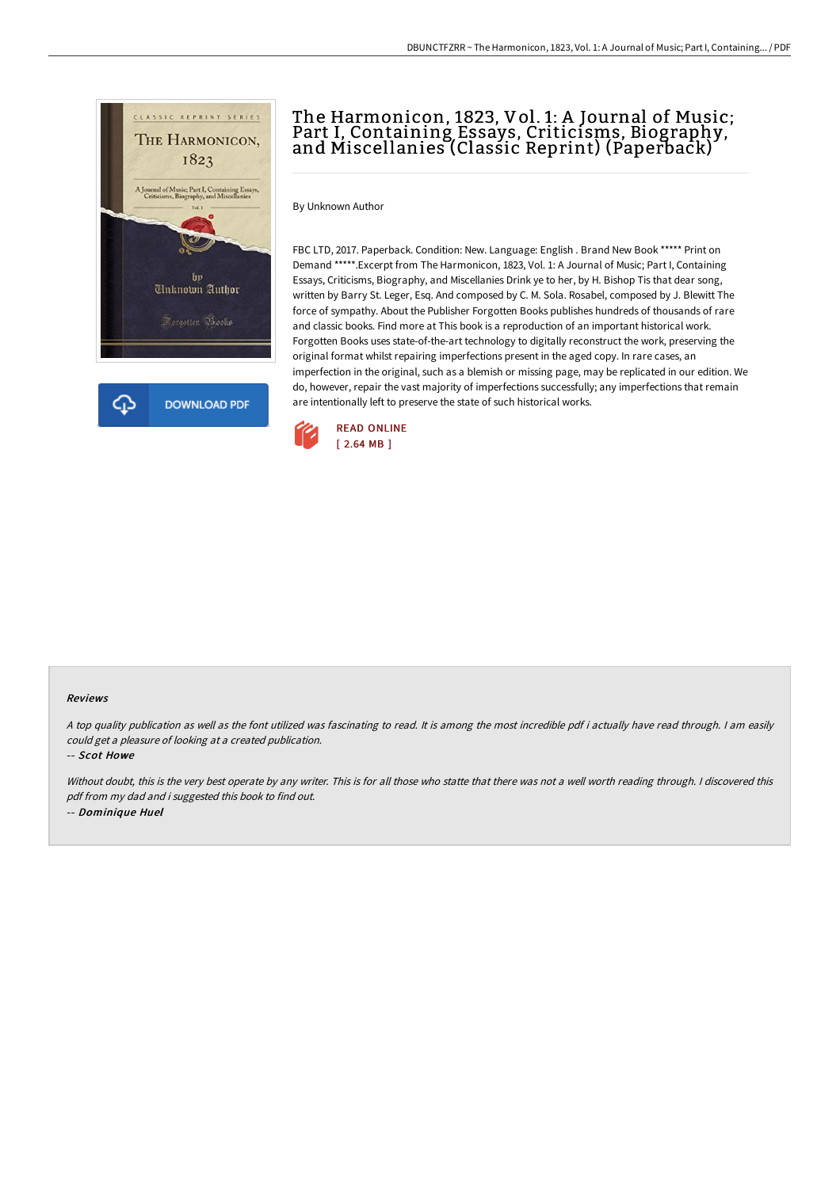

## The Harmonicon, 1823, Vol. 1: A Journal of Music; Part I, Containing Essays, Criticisms, Biography, and Miscellanies (Classic Reprint) (Paperback)

By Unknown Author

FBC LTD, 2017. Paperback. Condition: New. Language: English . Brand New Book \*\*\*\*\* Print on Demand \*\*\*\*\*.Excerpt from The Harmonicon, 1823, Vol. 1: A Journal of Music; Part I, Containing Essays, Criticisms, Biography, and Miscellanies Drink ye to her, by H. Bishop Tis that dear song, written by Barry St. Leger, Esq. And composed by C. M. Sola. Rosabel, composed by J. Blewitt The force of sympathy. About the Publisher Forgotten Books publishes hundreds of thousands of rare and classic books. Find more at This book is a reproduction of an important historical work. Forgotten Books uses state-of-the-art technology to digitally reconstruct the work, preserving the original format whilst repairing imperfections present in the aged copy. In rare cases, an imperfection in the original, such as a blemish or missing page, may be replicated in our edition. We do, however, repair the vast majority of imperfections successfully; any imperfections that remain are intentionally left to preserve the state of such historical works.



## Reviews

<sup>A</sup> top quality publication as well as the font utilized was fascinating to read. It is among the most incredible pdf i actually have read through. <sup>I</sup> am easily could get <sup>a</sup> pleasure of looking at <sup>a</sup> created publication.

-- Scot Howe

Without doubt, this is the very best operate by any writer. This is for all those who statte that there was not a well worth reading through. I discovered this pdf from my dad and i suggested this book to find out. -- Dominique Huel